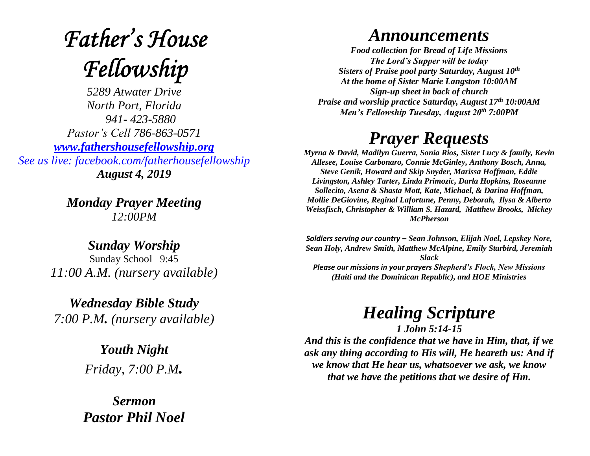## **Father's House** Fellowship

*5289 Atwater Drive North Port, Florida 941- 423-5880 Pastor's Cell 786-863-0571 [www.fathershousefellowship.org](http://www.fathershousefellowship.org/) See us live: facebook.com/fatherhousefellowship August 4, 2019*

> *Monday Prayer Meeting 12:00PM*

*Sunday Worship* Sunday School 9:45 *11:00 A.M. (nursery available)*

*Wednesday Bible Study 7:00 P.M. (nursery available)*

> *Youth Night Friday, 7:00 P.M.*

*Sermon Pastor Phil Noel*

## *Announcements*

*Food collection for Bread of Life Missions The Lord's Supper will be today Sisters of Praise pool party Saturday, August 10th At the home of Sister Marie Langston 10:00AM Sign-up sheet in back of church Praise and worship practice Saturday, August 17th 10:00AM Men's Fellowship Tuesday, August 20th 7:00PM*

## *Prayer Requests*

*Myrna & David, Madilyn Guerra, Sonia Rios, Sister Lucy & family, Kevin Allesee, Louise Carbonaro, Connie McGinley, Anthony Bosch, Anna, Steve Genik, Howard and Skip Snyder, Marissa Hoffman, Eddie Livingston, Ashley Tarter, Linda Primozic, Darla Hopkins, Roseanne Sollecito, Asena & Shasta Mott, Kate, Michael, & Darina Hoffman, Mollie DeGiovine, Reginal Lafortune, Penny, Deborah, Ilysa & Alberto Weissfisch, Christopher & William S. Hazard, Matthew Brooks, Mickey McPherson* 

*Soldiers serving our country – Sean Johnson, Elijah Noel, Lepskey Nore, Sean Holy, Andrew Smith, Matthew McAlpine, Emily Starbird, Jeremiah Slack Please our missions in your prayers Shepherd's Flock, New Missions (Haiti and the Dominican Republic), and HOE Ministries*

> *Healing Scripture 1 John 5:14-15*

*And this is the confidence that we have in Him, that, if we ask any thing according to His will, He heareth us: And if we know that He hear us, whatsoever we ask, we know that we have the petitions that we desire of Hm.*